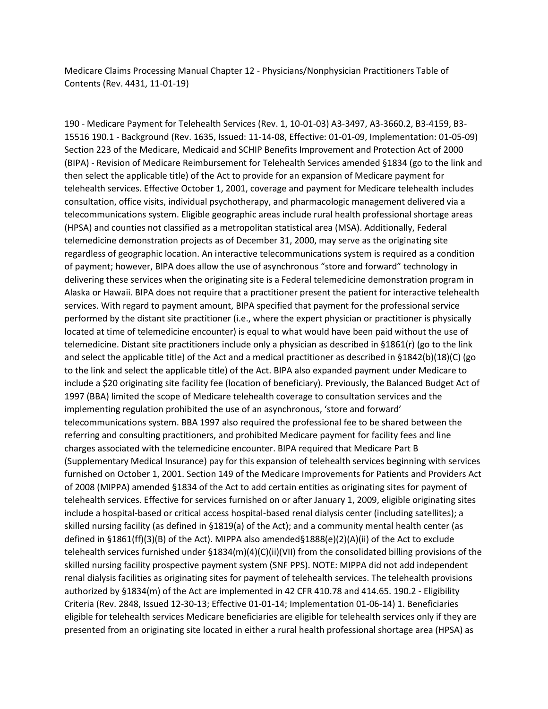Medicare Claims Processing Manual Chapter 12 - Physicians/Nonphysician Practitioners Table of Contents (Rev. 4431, 11-01-19)

190 - Medicare Payment for Telehealth Services (Rev. 1, 10-01-03) A3-3497, A3-3660.2, B3-4159, B3- 15516 190.1 - Background (Rev. 1635, Issued: 11-14-08, Effective: 01-01-09, Implementation: 01-05-09) Section 223 of the Medicare, Medicaid and SCHIP Benefits Improvement and Protection Act of 2000 (BIPA) - Revision of Medicare Reimbursement for Telehealth Services amended §1834 (go to the link and then select the applicable title) of the Act to provide for an expansion of Medicare payment for telehealth services. Effective October 1, 2001, coverage and payment for Medicare telehealth includes consultation, office visits, individual psychotherapy, and pharmacologic management delivered via a telecommunications system. Eligible geographic areas include rural health professional shortage areas (HPSA) and counties not classified as a metropolitan statistical area (MSA). Additionally, Federal telemedicine demonstration projects as of December 31, 2000, may serve as the originating site regardless of geographic location. An interactive telecommunications system is required as a condition of payment; however, BIPA does allow the use of asynchronous "store and forward" technology in delivering these services when the originating site is a Federal telemedicine demonstration program in Alaska or Hawaii. BIPA does not require that a practitioner present the patient for interactive telehealth services. With regard to payment amount, BIPA specified that payment for the professional service performed by the distant site practitioner (i.e., where the expert physician or practitioner is physically located at time of telemedicine encounter) is equal to what would have been paid without the use of telemedicine. Distant site practitioners include only a physician as described in §1861(r) (go to the link and select the applicable title) of the Act and a medical practitioner as described in §1842(b)(18)(C) (go to the link and select the applicable title) of the Act. BIPA also expanded payment under Medicare to include a \$20 originating site facility fee (location of beneficiary). Previously, the Balanced Budget Act of 1997 (BBA) limited the scope of Medicare telehealth coverage to consultation services and the implementing regulation prohibited the use of an asynchronous, 'store and forward' telecommunications system. BBA 1997 also required the professional fee to be shared between the referring and consulting practitioners, and prohibited Medicare payment for facility fees and line charges associated with the telemedicine encounter. BIPA required that Medicare Part B (Supplementary Medical Insurance) pay for this expansion of telehealth services beginning with services furnished on October 1, 2001. Section 149 of the Medicare Improvements for Patients and Providers Act of 2008 (MIPPA) amended §1834 of the Act to add certain entities as originating sites for payment of telehealth services. Effective for services furnished on or after January 1, 2009, eligible originating sites include a hospital-based or critical access hospital-based renal dialysis center (including satellites); a skilled nursing facility (as defined in §1819(a) of the Act); and a community mental health center (as defined in §1861(ff)(3)(B) of the Act). MIPPA also amended§1888(e)(2)(A)(ii) of the Act to exclude telehealth services furnished under §1834(m)(4)(C)(ii)(VII) from the consolidated billing provisions of the skilled nursing facility prospective payment system (SNF PPS). NOTE: MIPPA did not add independent renal dialysis facilities as originating sites for payment of telehealth services. The telehealth provisions authorized by §1834(m) of the Act are implemented in 42 CFR 410.78 and 414.65. 190.2 - Eligibility Criteria (Rev. 2848, Issued 12-30-13; Effective 01-01-14; Implementation 01-06-14) 1. Beneficiaries eligible for telehealth services Medicare beneficiaries are eligible for telehealth services only if they are presented from an originating site located in either a rural health professional shortage area (HPSA) as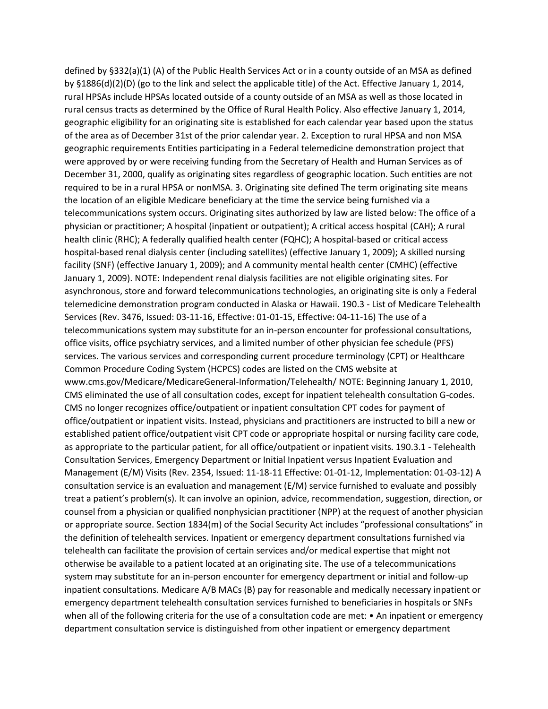defined by §332(a)(1) (A) of the Public Health Services Act or in a county outside of an MSA as defined by §1886(d)(2)(D) (go to the link and select the applicable title) of the Act. Effective January 1, 2014, rural HPSAs include HPSAs located outside of a county outside of an MSA as well as those located in rural census tracts as determined by the Office of Rural Health Policy. Also effective January 1, 2014, geographic eligibility for an originating site is established for each calendar year based upon the status of the area as of December 31st of the prior calendar year. 2. Exception to rural HPSA and non MSA geographic requirements Entities participating in a Federal telemedicine demonstration project that were approved by or were receiving funding from the Secretary of Health and Human Services as of December 31, 2000, qualify as originating sites regardless of geographic location. Such entities are not required to be in a rural HPSA or nonMSA. 3. Originating site defined The term originating site means the location of an eligible Medicare beneficiary at the time the service being furnished via a telecommunications system occurs. Originating sites authorized by law are listed below: The office of a physician or practitioner; A hospital (inpatient or outpatient); A critical access hospital (CAH); A rural health clinic (RHC); A federally qualified health center (FQHC); A hospital-based or critical access hospital-based renal dialysis center (including satellites) (effective January 1, 2009); A skilled nursing facility (SNF) (effective January 1, 2009); and A community mental health center (CMHC) (effective January 1, 2009). NOTE: Independent renal dialysis facilities are not eligible originating sites. For asynchronous, store and forward telecommunications technologies, an originating site is only a Federal telemedicine demonstration program conducted in Alaska or Hawaii. 190.3 - List of Medicare Telehealth Services (Rev. 3476, Issued: 03-11-16, Effective: 01-01-15, Effective: 04-11-16) The use of a telecommunications system may substitute for an in-person encounter for professional consultations, office visits, office psychiatry services, and a limited number of other physician fee schedule (PFS) services. The various services and corresponding current procedure terminology (CPT) or Healthcare Common Procedure Coding System (HCPCS) codes are listed on the CMS website at www.cms.gov/Medicare/MedicareGeneral-Information/Telehealth/ NOTE: Beginning January 1, 2010, CMS eliminated the use of all consultation codes, except for inpatient telehealth consultation G-codes. CMS no longer recognizes office/outpatient or inpatient consultation CPT codes for payment of office/outpatient or inpatient visits. Instead, physicians and practitioners are instructed to bill a new or established patient office/outpatient visit CPT code or appropriate hospital or nursing facility care code, as appropriate to the particular patient, for all office/outpatient or inpatient visits. 190.3.1 - Telehealth Consultation Services, Emergency Department or Initial Inpatient versus Inpatient Evaluation and Management (E/M) Visits (Rev. 2354, Issued: 11-18-11 Effective: 01-01-12, Implementation: 01-03-12) A consultation service is an evaluation and management (E/M) service furnished to evaluate and possibly treat a patient's problem(s). It can involve an opinion, advice, recommendation, suggestion, direction, or counsel from a physician or qualified nonphysician practitioner (NPP) at the request of another physician or appropriate source. Section 1834(m) of the Social Security Act includes "professional consultations" in the definition of telehealth services. Inpatient or emergency department consultations furnished via telehealth can facilitate the provision of certain services and/or medical expertise that might not otherwise be available to a patient located at an originating site. The use of a telecommunications system may substitute for an in-person encounter for emergency department or initial and follow-up inpatient consultations. Medicare A/B MACs (B) pay for reasonable and medically necessary inpatient or emergency department telehealth consultation services furnished to beneficiaries in hospitals or SNFs when all of the following criteria for the use of a consultation code are met: • An inpatient or emergency department consultation service is distinguished from other inpatient or emergency department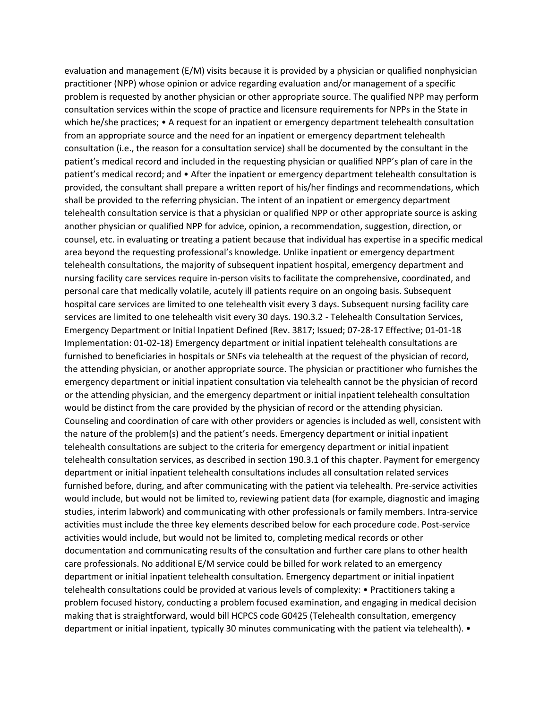evaluation and management (E/M) visits because it is provided by a physician or qualified nonphysician practitioner (NPP) whose opinion or advice regarding evaluation and/or management of a specific problem is requested by another physician or other appropriate source. The qualified NPP may perform consultation services within the scope of practice and licensure requirements for NPPs in the State in which he/she practices; • A request for an inpatient or emergency department telehealth consultation from an appropriate source and the need for an inpatient or emergency department telehealth consultation (i.e., the reason for a consultation service) shall be documented by the consultant in the patient's medical record and included in the requesting physician or qualified NPP's plan of care in the patient's medical record; and • After the inpatient or emergency department telehealth consultation is provided, the consultant shall prepare a written report of his/her findings and recommendations, which shall be provided to the referring physician. The intent of an inpatient or emergency department telehealth consultation service is that a physician or qualified NPP or other appropriate source is asking another physician or qualified NPP for advice, opinion, a recommendation, suggestion, direction, or counsel, etc. in evaluating or treating a patient because that individual has expertise in a specific medical area beyond the requesting professional's knowledge. Unlike inpatient or emergency department telehealth consultations, the majority of subsequent inpatient hospital, emergency department and nursing facility care services require in-person visits to facilitate the comprehensive, coordinated, and personal care that medically volatile, acutely ill patients require on an ongoing basis. Subsequent hospital care services are limited to one telehealth visit every 3 days. Subsequent nursing facility care services are limited to one telehealth visit every 30 days. 190.3.2 - Telehealth Consultation Services, Emergency Department or Initial Inpatient Defined (Rev. 3817; Issued; 07-28-17 Effective; 01-01-18 Implementation: 01-02-18) Emergency department or initial inpatient telehealth consultations are furnished to beneficiaries in hospitals or SNFs via telehealth at the request of the physician of record, the attending physician, or another appropriate source. The physician or practitioner who furnishes the emergency department or initial inpatient consultation via telehealth cannot be the physician of record or the attending physician, and the emergency department or initial inpatient telehealth consultation would be distinct from the care provided by the physician of record or the attending physician. Counseling and coordination of care with other providers or agencies is included as well, consistent with the nature of the problem(s) and the patient's needs. Emergency department or initial inpatient telehealth consultations are subject to the criteria for emergency department or initial inpatient telehealth consultation services, as described in section 190.3.1 of this chapter. Payment for emergency department or initial inpatient telehealth consultations includes all consultation related services furnished before, during, and after communicating with the patient via telehealth. Pre-service activities would include, but would not be limited to, reviewing patient data (for example, diagnostic and imaging studies, interim labwork) and communicating with other professionals or family members. Intra-service activities must include the three key elements described below for each procedure code. Post-service activities would include, but would not be limited to, completing medical records or other documentation and communicating results of the consultation and further care plans to other health care professionals. No additional E/M service could be billed for work related to an emergency department or initial inpatient telehealth consultation. Emergency department or initial inpatient telehealth consultations could be provided at various levels of complexity: • Practitioners taking a problem focused history, conducting a problem focused examination, and engaging in medical decision making that is straightforward, would bill HCPCS code G0425 (Telehealth consultation, emergency department or initial inpatient, typically 30 minutes communicating with the patient via telehealth). •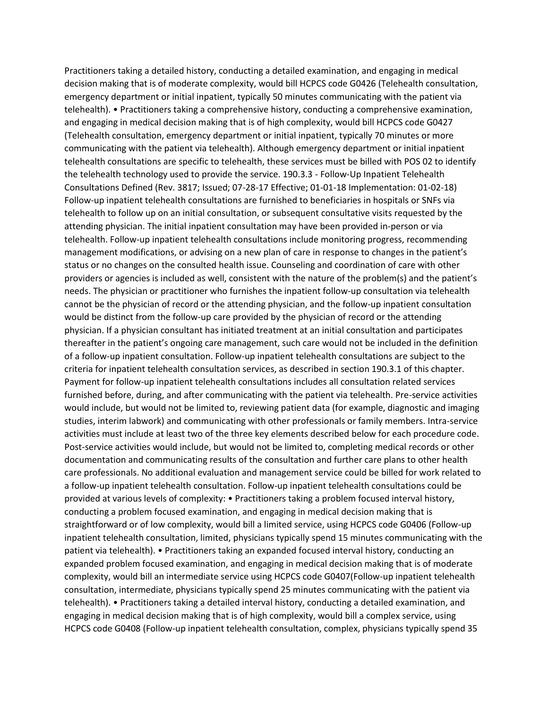Practitioners taking a detailed history, conducting a detailed examination, and engaging in medical decision making that is of moderate complexity, would bill HCPCS code G0426 (Telehealth consultation, emergency department or initial inpatient, typically 50 minutes communicating with the patient via telehealth). • Practitioners taking a comprehensive history, conducting a comprehensive examination, and engaging in medical decision making that is of high complexity, would bill HCPCS code G0427 (Telehealth consultation, emergency department or initial inpatient, typically 70 minutes or more communicating with the patient via telehealth). Although emergency department or initial inpatient telehealth consultations are specific to telehealth, these services must be billed with POS 02 to identify the telehealth technology used to provide the service. 190.3.3 - Follow-Up Inpatient Telehealth Consultations Defined (Rev. 3817; Issued; 07-28-17 Effective; 01-01-18 Implementation: 01-02-18) Follow-up inpatient telehealth consultations are furnished to beneficiaries in hospitals or SNFs via telehealth to follow up on an initial consultation, or subsequent consultative visits requested by the attending physician. The initial inpatient consultation may have been provided in-person or via telehealth. Follow-up inpatient telehealth consultations include monitoring progress, recommending management modifications, or advising on a new plan of care in response to changes in the patient's status or no changes on the consulted health issue. Counseling and coordination of care with other providers or agencies is included as well, consistent with the nature of the problem(s) and the patient's needs. The physician or practitioner who furnishes the inpatient follow-up consultation via telehealth cannot be the physician of record or the attending physician, and the follow-up inpatient consultation would be distinct from the follow-up care provided by the physician of record or the attending physician. If a physician consultant has initiated treatment at an initial consultation and participates thereafter in the patient's ongoing care management, such care would not be included in the definition of a follow-up inpatient consultation. Follow-up inpatient telehealth consultations are subject to the criteria for inpatient telehealth consultation services, as described in section 190.3.1 of this chapter. Payment for follow-up inpatient telehealth consultations includes all consultation related services furnished before, during, and after communicating with the patient via telehealth. Pre-service activities would include, but would not be limited to, reviewing patient data (for example, diagnostic and imaging studies, interim labwork) and communicating with other professionals or family members. Intra-service activities must include at least two of the three key elements described below for each procedure code. Post-service activities would include, but would not be limited to, completing medical records or other documentation and communicating results of the consultation and further care plans to other health care professionals. No additional evaluation and management service could be billed for work related to a follow-up inpatient telehealth consultation. Follow-up inpatient telehealth consultations could be provided at various levels of complexity: • Practitioners taking a problem focused interval history, conducting a problem focused examination, and engaging in medical decision making that is straightforward or of low complexity, would bill a limited service, using HCPCS code G0406 (Follow-up inpatient telehealth consultation, limited, physicians typically spend 15 minutes communicating with the patient via telehealth). • Practitioners taking an expanded focused interval history, conducting an expanded problem focused examination, and engaging in medical decision making that is of moderate complexity, would bill an intermediate service using HCPCS code G0407(Follow-up inpatient telehealth consultation, intermediate, physicians typically spend 25 minutes communicating with the patient via telehealth). • Practitioners taking a detailed interval history, conducting a detailed examination, and engaging in medical decision making that is of high complexity, would bill a complex service, using HCPCS code G0408 (Follow-up inpatient telehealth consultation, complex, physicians typically spend 35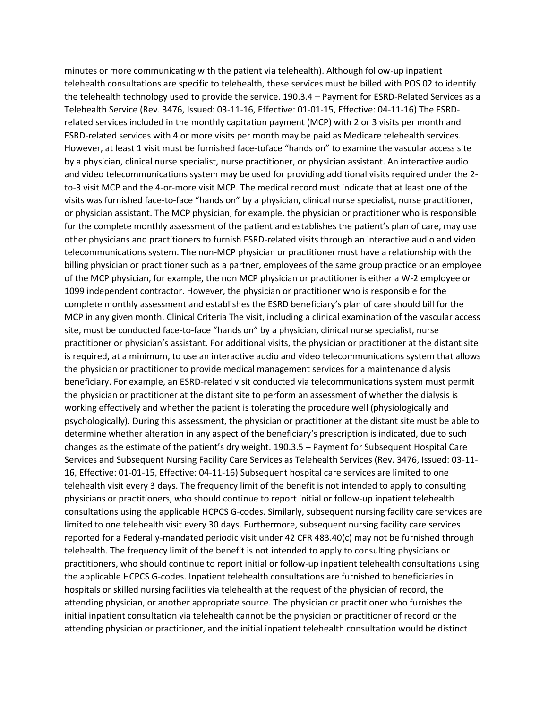minutes or more communicating with the patient via telehealth). Although follow-up inpatient telehealth consultations are specific to telehealth, these services must be billed with POS 02 to identify the telehealth technology used to provide the service. 190.3.4 – Payment for ESRD-Related Services as a Telehealth Service (Rev. 3476, Issued: 03-11-16, Effective: 01-01-15, Effective: 04-11-16) The ESRDrelated services included in the monthly capitation payment (MCP) with 2 or 3 visits per month and ESRD-related services with 4 or more visits per month may be paid as Medicare telehealth services. However, at least 1 visit must be furnished face-toface "hands on" to examine the vascular access site by a physician, clinical nurse specialist, nurse practitioner, or physician assistant. An interactive audio and video telecommunications system may be used for providing additional visits required under the 2 to-3 visit MCP and the 4-or-more visit MCP. The medical record must indicate that at least one of the visits was furnished face-to-face "hands on" by a physician, clinical nurse specialist, nurse practitioner, or physician assistant. The MCP physician, for example, the physician or practitioner who is responsible for the complete monthly assessment of the patient and establishes the patient's plan of care, may use other physicians and practitioners to furnish ESRD-related visits through an interactive audio and video telecommunications system. The non-MCP physician or practitioner must have a relationship with the billing physician or practitioner such as a partner, employees of the same group practice or an employee of the MCP physician, for example, the non MCP physician or practitioner is either a W-2 employee or 1099 independent contractor. However, the physician or practitioner who is responsible for the complete monthly assessment and establishes the ESRD beneficiary's plan of care should bill for the MCP in any given month. Clinical Criteria The visit, including a clinical examination of the vascular access site, must be conducted face-to-face "hands on" by a physician, clinical nurse specialist, nurse practitioner or physician's assistant. For additional visits, the physician or practitioner at the distant site is required, at a minimum, to use an interactive audio and video telecommunications system that allows the physician or practitioner to provide medical management services for a maintenance dialysis beneficiary. For example, an ESRD-related visit conducted via telecommunications system must permit the physician or practitioner at the distant site to perform an assessment of whether the dialysis is working effectively and whether the patient is tolerating the procedure well (physiologically and psychologically). During this assessment, the physician or practitioner at the distant site must be able to determine whether alteration in any aspect of the beneficiary's prescription is indicated, due to such changes as the estimate of the patient's dry weight. 190.3.5 – Payment for Subsequent Hospital Care Services and Subsequent Nursing Facility Care Services as Telehealth Services (Rev. 3476, Issued: 03-11- 16, Effective: 01-01-15, Effective: 04-11-16) Subsequent hospital care services are limited to one telehealth visit every 3 days. The frequency limit of the benefit is not intended to apply to consulting physicians or practitioners, who should continue to report initial or follow-up inpatient telehealth consultations using the applicable HCPCS G-codes. Similarly, subsequent nursing facility care services are limited to one telehealth visit every 30 days. Furthermore, subsequent nursing facility care services reported for a Federally-mandated periodic visit under 42 CFR 483.40(c) may not be furnished through telehealth. The frequency limit of the benefit is not intended to apply to consulting physicians or practitioners, who should continue to report initial or follow-up inpatient telehealth consultations using the applicable HCPCS G-codes. Inpatient telehealth consultations are furnished to beneficiaries in hospitals or skilled nursing facilities via telehealth at the request of the physician of record, the attending physician, or another appropriate source. The physician or practitioner who furnishes the initial inpatient consultation via telehealth cannot be the physician or practitioner of record or the attending physician or practitioner, and the initial inpatient telehealth consultation would be distinct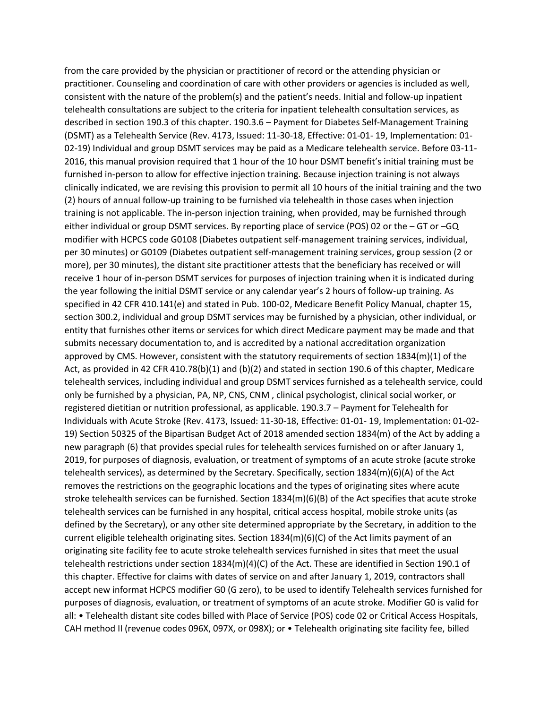from the care provided by the physician or practitioner of record or the attending physician or practitioner. Counseling and coordination of care with other providers or agencies is included as well, consistent with the nature of the problem(s) and the patient's needs. Initial and follow-up inpatient telehealth consultations are subject to the criteria for inpatient telehealth consultation services, as described in section 190.3 of this chapter. 190.3.6 – Payment for Diabetes Self-Management Training (DSMT) as a Telehealth Service (Rev. 4173, Issued: 11-30-18, Effective: 01-01- 19, Implementation: 01- 02-19) Individual and group DSMT services may be paid as a Medicare telehealth service. Before 03-11- 2016, this manual provision required that 1 hour of the 10 hour DSMT benefit's initial training must be furnished in-person to allow for effective injection training. Because injection training is not always clinically indicated, we are revising this provision to permit all 10 hours of the initial training and the two (2) hours of annual follow-up training to be furnished via telehealth in those cases when injection training is not applicable. The in-person injection training, when provided, may be furnished through either individual or group DSMT services. By reporting place of service (POS) 02 or the – GT or –GQ modifier with HCPCS code G0108 (Diabetes outpatient self-management training services, individual, per 30 minutes) or G0109 (Diabetes outpatient self-management training services, group session (2 or more), per 30 minutes), the distant site practitioner attests that the beneficiary has received or will receive 1 hour of in-person DSMT services for purposes of injection training when it is indicated during the year following the initial DSMT service or any calendar year's 2 hours of follow-up training. As specified in 42 CFR 410.141(e) and stated in Pub. 100-02, Medicare Benefit Policy Manual, chapter 15, section 300.2, individual and group DSMT services may be furnished by a physician, other individual, or entity that furnishes other items or services for which direct Medicare payment may be made and that submits necessary documentation to, and is accredited by a national accreditation organization approved by CMS. However, consistent with the statutory requirements of section 1834(m)(1) of the Act, as provided in 42 CFR 410.78(b)(1) and (b)(2) and stated in section 190.6 of this chapter, Medicare telehealth services, including individual and group DSMT services furnished as a telehealth service, could only be furnished by a physician, PA, NP, CNS, CNM , clinical psychologist, clinical social worker, or registered dietitian or nutrition professional, as applicable. 190.3.7 – Payment for Telehealth for Individuals with Acute Stroke (Rev. 4173, Issued: 11-30-18, Effective: 01-01- 19, Implementation: 01-02- 19) Section 50325 of the Bipartisan Budget Act of 2018 amended section 1834(m) of the Act by adding a new paragraph (6) that provides special rules for telehealth services furnished on or after January 1, 2019, for purposes of diagnosis, evaluation, or treatment of symptoms of an acute stroke (acute stroke telehealth services), as determined by the Secretary. Specifically, section 1834(m)(6)(A) of the Act removes the restrictions on the geographic locations and the types of originating sites where acute stroke telehealth services can be furnished. Section 1834(m)(6)(B) of the Act specifies that acute stroke telehealth services can be furnished in any hospital, critical access hospital, mobile stroke units (as defined by the Secretary), or any other site determined appropriate by the Secretary, in addition to the current eligible telehealth originating sites. Section 1834(m)(6)(C) of the Act limits payment of an originating site facility fee to acute stroke telehealth services furnished in sites that meet the usual telehealth restrictions under section 1834(m)(4)(C) of the Act. These are identified in Section 190.1 of this chapter. Effective for claims with dates of service on and after January 1, 2019, contractors shall accept new informat HCPCS modifier G0 (G zero), to be used to identify Telehealth services furnished for purposes of diagnosis, evaluation, or treatment of symptoms of an acute stroke. Modifier G0 is valid for all: • Telehealth distant site codes billed with Place of Service (POS) code 02 or Critical Access Hospitals, CAH method II (revenue codes 096X, 097X, or 098X); or • Telehealth originating site facility fee, billed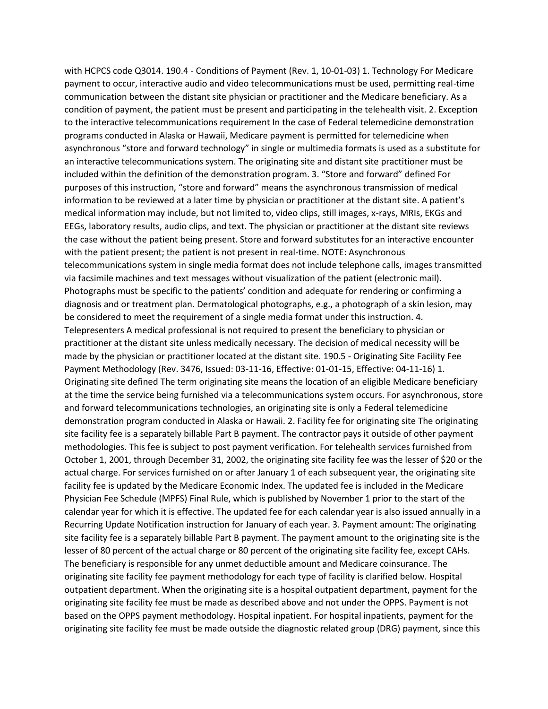with HCPCS code Q3014. 190.4 - Conditions of Payment (Rev. 1, 10-01-03) 1. Technology For Medicare payment to occur, interactive audio and video telecommunications must be used, permitting real-time communication between the distant site physician or practitioner and the Medicare beneficiary. As a condition of payment, the patient must be present and participating in the telehealth visit. 2. Exception to the interactive telecommunications requirement In the case of Federal telemedicine demonstration programs conducted in Alaska or Hawaii, Medicare payment is permitted for telemedicine when asynchronous "store and forward technology" in single or multimedia formats is used as a substitute for an interactive telecommunications system. The originating site and distant site practitioner must be included within the definition of the demonstration program. 3. "Store and forward" defined For purposes of this instruction, "store and forward" means the asynchronous transmission of medical information to be reviewed at a later time by physician or practitioner at the distant site. A patient's medical information may include, but not limited to, video clips, still images, x-rays, MRIs, EKGs and EEGs, laboratory results, audio clips, and text. The physician or practitioner at the distant site reviews the case without the patient being present. Store and forward substitutes for an interactive encounter with the patient present; the patient is not present in real-time. NOTE: Asynchronous telecommunications system in single media format does not include telephone calls, images transmitted via facsimile machines and text messages without visualization of the patient (electronic mail). Photographs must be specific to the patients' condition and adequate for rendering or confirming a diagnosis and or treatment plan. Dermatological photographs, e.g., a photograph of a skin lesion, may be considered to meet the requirement of a single media format under this instruction. 4. Telepresenters A medical professional is not required to present the beneficiary to physician or practitioner at the distant site unless medically necessary. The decision of medical necessity will be made by the physician or practitioner located at the distant site. 190.5 - Originating Site Facility Fee Payment Methodology (Rev. 3476, Issued: 03-11-16, Effective: 01-01-15, Effective: 04-11-16) 1. Originating site defined The term originating site means the location of an eligible Medicare beneficiary at the time the service being furnished via a telecommunications system occurs. For asynchronous, store and forward telecommunications technologies, an originating site is only a Federal telemedicine demonstration program conducted in Alaska or Hawaii. 2. Facility fee for originating site The originating site facility fee is a separately billable Part B payment. The contractor pays it outside of other payment methodologies. This fee is subject to post payment verification. For telehealth services furnished from October 1, 2001, through December 31, 2002, the originating site facility fee was the lesser of \$20 or the actual charge. For services furnished on or after January 1 of each subsequent year, the originating site facility fee is updated by the Medicare Economic Index. The updated fee is included in the Medicare Physician Fee Schedule (MPFS) Final Rule, which is published by November 1 prior to the start of the calendar year for which it is effective. The updated fee for each calendar year is also issued annually in a Recurring Update Notification instruction for January of each year. 3. Payment amount: The originating site facility fee is a separately billable Part B payment. The payment amount to the originating site is the lesser of 80 percent of the actual charge or 80 percent of the originating site facility fee, except CAHs. The beneficiary is responsible for any unmet deductible amount and Medicare coinsurance. The originating site facility fee payment methodology for each type of facility is clarified below. Hospital outpatient department. When the originating site is a hospital outpatient department, payment for the originating site facility fee must be made as described above and not under the OPPS. Payment is not based on the OPPS payment methodology. Hospital inpatient. For hospital inpatients, payment for the originating site facility fee must be made outside the diagnostic related group (DRG) payment, since this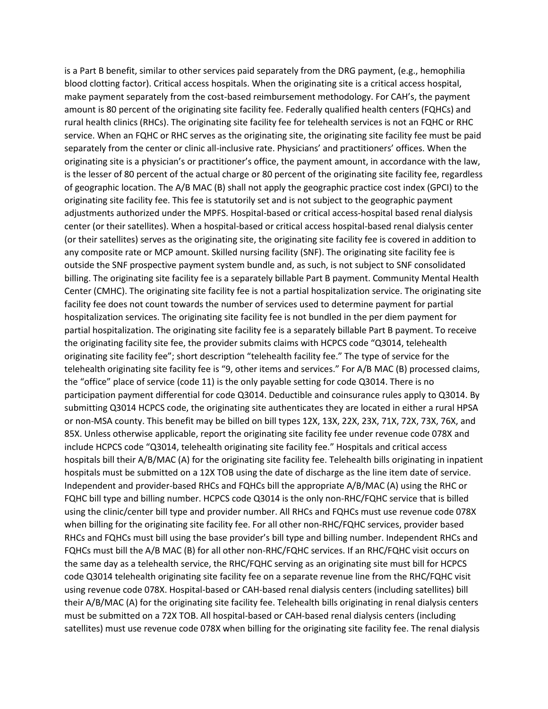is a Part B benefit, similar to other services paid separately from the DRG payment, (e.g., hemophilia blood clotting factor). Critical access hospitals. When the originating site is a critical access hospital, make payment separately from the cost-based reimbursement methodology. For CAH's, the payment amount is 80 percent of the originating site facility fee. Federally qualified health centers (FQHCs) and rural health clinics (RHCs). The originating site facility fee for telehealth services is not an FQHC or RHC service. When an FQHC or RHC serves as the originating site, the originating site facility fee must be paid separately from the center or clinic all-inclusive rate. Physicians' and practitioners' offices. When the originating site is a physician's or practitioner's office, the payment amount, in accordance with the law, is the lesser of 80 percent of the actual charge or 80 percent of the originating site facility fee, regardless of geographic location. The A/B MAC (B) shall not apply the geographic practice cost index (GPCI) to the originating site facility fee. This fee is statutorily set and is not subject to the geographic payment adjustments authorized under the MPFS. Hospital-based or critical access-hospital based renal dialysis center (or their satellites). When a hospital-based or critical access hospital-based renal dialysis center (or their satellites) serves as the originating site, the originating site facility fee is covered in addition to any composite rate or MCP amount. Skilled nursing facility (SNF). The originating site facility fee is outside the SNF prospective payment system bundle and, as such, is not subject to SNF consolidated billing. The originating site facility fee is a separately billable Part B payment. Community Mental Health Center (CMHC). The originating site facility fee is not a partial hospitalization service. The originating site facility fee does not count towards the number of services used to determine payment for partial hospitalization services. The originating site facility fee is not bundled in the per diem payment for partial hospitalization. The originating site facility fee is a separately billable Part B payment. To receive the originating facility site fee, the provider submits claims with HCPCS code "Q3014, telehealth originating site facility fee"; short description "telehealth facility fee." The type of service for the telehealth originating site facility fee is "9, other items and services." For A/B MAC (B) processed claims, the "office" place of service (code 11) is the only payable setting for code Q3014. There is no participation payment differential for code Q3014. Deductible and coinsurance rules apply to Q3014. By submitting Q3014 HCPCS code, the originating site authenticates they are located in either a rural HPSA or non-MSA county. This benefit may be billed on bill types 12X, 13X, 22X, 23X, 71X, 72X, 73X, 76X, and 85X. Unless otherwise applicable, report the originating site facility fee under revenue code 078X and include HCPCS code "Q3014, telehealth originating site facility fee." Hospitals and critical access hospitals bill their A/B/MAC (A) for the originating site facility fee. Telehealth bills originating in inpatient hospitals must be submitted on a 12X TOB using the date of discharge as the line item date of service. Independent and provider-based RHCs and FQHCs bill the appropriate A/B/MAC (A) using the RHC or FQHC bill type and billing number. HCPCS code Q3014 is the only non-RHC/FQHC service that is billed using the clinic/center bill type and provider number. All RHCs and FQHCs must use revenue code 078X when billing for the originating site facility fee. For all other non-RHC/FQHC services, provider based RHCs and FQHCs must bill using the base provider's bill type and billing number. Independent RHCs and FQHCs must bill the A/B MAC (B) for all other non-RHC/FQHC services. If an RHC/FQHC visit occurs on the same day as a telehealth service, the RHC/FQHC serving as an originating site must bill for HCPCS code Q3014 telehealth originating site facility fee on a separate revenue line from the RHC/FQHC visit using revenue code 078X. Hospital-based or CAH-based renal dialysis centers (including satellites) bill their A/B/MAC (A) for the originating site facility fee. Telehealth bills originating in renal dialysis centers must be submitted on a 72X TOB. All hospital-based or CAH-based renal dialysis centers (including satellites) must use revenue code 078X when billing for the originating site facility fee. The renal dialysis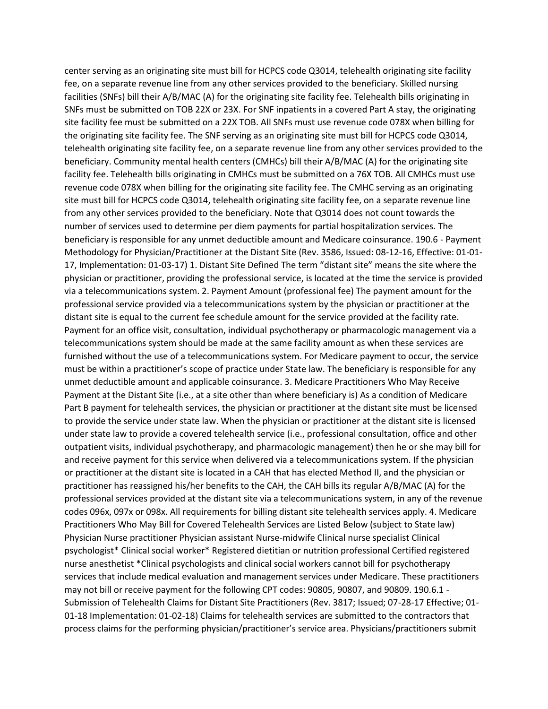center serving as an originating site must bill for HCPCS code Q3014, telehealth originating site facility fee, on a separate revenue line from any other services provided to the beneficiary. Skilled nursing facilities (SNFs) bill their A/B/MAC (A) for the originating site facility fee. Telehealth bills originating in SNFs must be submitted on TOB 22X or 23X. For SNF inpatients in a covered Part A stay, the originating site facility fee must be submitted on a 22X TOB. All SNFs must use revenue code 078X when billing for the originating site facility fee. The SNF serving as an originating site must bill for HCPCS code Q3014, telehealth originating site facility fee, on a separate revenue line from any other services provided to the beneficiary. Community mental health centers (CMHCs) bill their A/B/MAC (A) for the originating site facility fee. Telehealth bills originating in CMHCs must be submitted on a 76X TOB. All CMHCs must use revenue code 078X when billing for the originating site facility fee. The CMHC serving as an originating site must bill for HCPCS code Q3014, telehealth originating site facility fee, on a separate revenue line from any other services provided to the beneficiary. Note that Q3014 does not count towards the number of services used to determine per diem payments for partial hospitalization services. The beneficiary is responsible for any unmet deductible amount and Medicare coinsurance. 190.6 - Payment Methodology for Physician/Practitioner at the Distant Site (Rev. 3586, Issued: 08-12-16, Effective: 01-01- 17, Implementation: 01-03-17) 1. Distant Site Defined The term "distant site" means the site where the physician or practitioner, providing the professional service, is located at the time the service is provided via a telecommunications system. 2. Payment Amount (professional fee) The payment amount for the professional service provided via a telecommunications system by the physician or practitioner at the distant site is equal to the current fee schedule amount for the service provided at the facility rate. Payment for an office visit, consultation, individual psychotherapy or pharmacologic management via a telecommunications system should be made at the same facility amount as when these services are furnished without the use of a telecommunications system. For Medicare payment to occur, the service must be within a practitioner's scope of practice under State law. The beneficiary is responsible for any unmet deductible amount and applicable coinsurance. 3. Medicare Practitioners Who May Receive Payment at the Distant Site (i.e., at a site other than where beneficiary is) As a condition of Medicare Part B payment for telehealth services, the physician or practitioner at the distant site must be licensed to provide the service under state law. When the physician or practitioner at the distant site is licensed under state law to provide a covered telehealth service (i.e., professional consultation, office and other outpatient visits, individual psychotherapy, and pharmacologic management) then he or she may bill for and receive payment for this service when delivered via a telecommunications system. If the physician or practitioner at the distant site is located in a CAH that has elected Method II, and the physician or practitioner has reassigned his/her benefits to the CAH, the CAH bills its regular A/B/MAC (A) for the professional services provided at the distant site via a telecommunications system, in any of the revenue codes 096x, 097x or 098x. All requirements for billing distant site telehealth services apply. 4. Medicare Practitioners Who May Bill for Covered Telehealth Services are Listed Below (subject to State law) Physician Nurse practitioner Physician assistant Nurse-midwife Clinical nurse specialist Clinical psychologist\* Clinical social worker\* Registered dietitian or nutrition professional Certified registered nurse anesthetist \*Clinical psychologists and clinical social workers cannot bill for psychotherapy services that include medical evaluation and management services under Medicare. These practitioners may not bill or receive payment for the following CPT codes: 90805, 90807, and 90809. 190.6.1 - Submission of Telehealth Claims for Distant Site Practitioners (Rev. 3817; Issued; 07-28-17 Effective; 01- 01-18 Implementation: 01-02-18) Claims for telehealth services are submitted to the contractors that process claims for the performing physician/practitioner's service area. Physicians/practitioners submit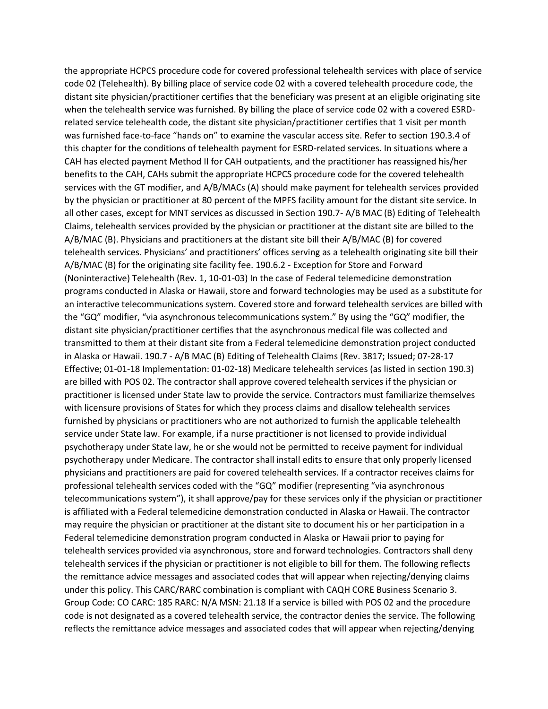the appropriate HCPCS procedure code for covered professional telehealth services with place of service code 02 (Telehealth). By billing place of service code 02 with a covered telehealth procedure code, the distant site physician/practitioner certifies that the beneficiary was present at an eligible originating site when the telehealth service was furnished. By billing the place of service code 02 with a covered ESRDrelated service telehealth code, the distant site physician/practitioner certifies that 1 visit per month was furnished face-to-face "hands on" to examine the vascular access site. Refer to section 190.3.4 of this chapter for the conditions of telehealth payment for ESRD-related services. In situations where a CAH has elected payment Method II for CAH outpatients, and the practitioner has reassigned his/her benefits to the CAH, CAHs submit the appropriate HCPCS procedure code for the covered telehealth services with the GT modifier, and A/B/MACs (A) should make payment for telehealth services provided by the physician or practitioner at 80 percent of the MPFS facility amount for the distant site service. In all other cases, except for MNT services as discussed in Section 190.7- A/B MAC (B) Editing of Telehealth Claims, telehealth services provided by the physician or practitioner at the distant site are billed to the A/B/MAC (B). Physicians and practitioners at the distant site bill their A/B/MAC (B) for covered telehealth services. Physicians' and practitioners' offices serving as a telehealth originating site bill their A/B/MAC (B) for the originating site facility fee. 190.6.2 - Exception for Store and Forward (Noninteractive) Telehealth (Rev. 1, 10-01-03) In the case of Federal telemedicine demonstration programs conducted in Alaska or Hawaii, store and forward technologies may be used as a substitute for an interactive telecommunications system. Covered store and forward telehealth services are billed with the "GQ" modifier, "via asynchronous telecommunications system." By using the "GQ" modifier, the distant site physician/practitioner certifies that the asynchronous medical file was collected and transmitted to them at their distant site from a Federal telemedicine demonstration project conducted in Alaska or Hawaii. 190.7 - A/B MAC (B) Editing of Telehealth Claims (Rev. 3817; Issued; 07-28-17 Effective; 01-01-18 Implementation: 01-02-18) Medicare telehealth services (as listed in section 190.3) are billed with POS 02. The contractor shall approve covered telehealth services if the physician or practitioner is licensed under State law to provide the service. Contractors must familiarize themselves with licensure provisions of States for which they process claims and disallow telehealth services furnished by physicians or practitioners who are not authorized to furnish the applicable telehealth service under State law. For example, if a nurse practitioner is not licensed to provide individual psychotherapy under State law, he or she would not be permitted to receive payment for individual psychotherapy under Medicare. The contractor shall install edits to ensure that only properly licensed physicians and practitioners are paid for covered telehealth services. If a contractor receives claims for professional telehealth services coded with the "GQ" modifier (representing "via asynchronous telecommunications system"), it shall approve/pay for these services only if the physician or practitioner is affiliated with a Federal telemedicine demonstration conducted in Alaska or Hawaii. The contractor may require the physician or practitioner at the distant site to document his or her participation in a Federal telemedicine demonstration program conducted in Alaska or Hawaii prior to paying for telehealth services provided via asynchronous, store and forward technologies. Contractors shall deny telehealth services if the physician or practitioner is not eligible to bill for them. The following reflects the remittance advice messages and associated codes that will appear when rejecting/denying claims under this policy. This CARC/RARC combination is compliant with CAQH CORE Business Scenario 3. Group Code: CO CARC: 185 RARC: N/A MSN: 21.18 If a service is billed with POS 02 and the procedure code is not designated as a covered telehealth service, the contractor denies the service. The following reflects the remittance advice messages and associated codes that will appear when rejecting/denying